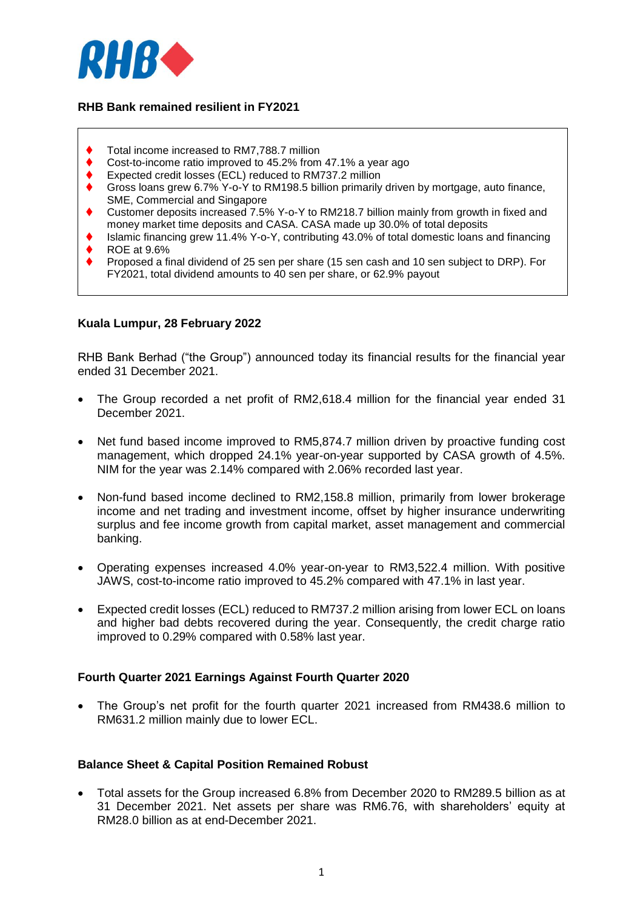

## **RHB Bank remained resilient in FY2021**

- Total income increased to RM7,788.7 million
- Cost-to-income ratio improved to 45.2% from 47.1% a year ago
- Expected credit losses (ECL) reduced to RM737.2 million
- Gross loans grew 6.7% Y-o-Y to RM198.5 billion primarily driven by mortgage, auto finance, SME, Commercial and Singapore
- Customer deposits increased 7.5% Y-o-Y to RM218.7 billion mainly from growth in fixed and money market time deposits and CASA. CASA made up 30.0% of total deposits
- ◆ Islamic financing grew 11.4% Y-o-Y, contributing 43.0% of total domestic loans and financing
- $\bigstar$  ROE at 9.6%
- Proposed a final dividend of 25 sen per share (15 sen cash and 10 sen subject to DRP). For FY2021, total dividend amounts to 40 sen per share, or 62.9% payout

### **Kuala Lumpur, 28 February 2022**

RHB Bank Berhad ("the Group") announced today its financial results for the financial year ended 31 December 2021.

- The Group recorded a net profit of RM2,618.4 million for the financial year ended 31 December 2021.
- Net fund based income improved to RM5,874.7 million driven by proactive funding cost management, which dropped 24.1% year-on-year supported by CASA growth of 4.5%. NIM for the year was 2.14% compared with 2.06% recorded last year.
- Non-fund based income declined to RM2,158.8 million, primarily from lower brokerage income and net trading and investment income, offset by higher insurance underwriting surplus and fee income growth from capital market, asset management and commercial banking.
- Operating expenses increased 4.0% year-on-year to RM3,522.4 million. With positive JAWS, cost-to-income ratio improved to 45.2% compared with 47.1% in last year.
- Expected credit losses (ECL) reduced to RM737.2 million arising from lower ECL on loans and higher bad debts recovered during the year. Consequently, the credit charge ratio improved to 0.29% compared with 0.58% last year.

### **Fourth Quarter 2021 Earnings Against Fourth Quarter 2020**

 The Group's net profit for the fourth quarter 2021 increased from RM438.6 million to RM631.2 million mainly due to lower ECL.

## **Balance Sheet & Capital Position Remained Robust**

 Total assets for the Group increased 6.8% from December 2020 to RM289.5 billion as at 31 December 2021. Net assets per share was RM6.76, with shareholders' equity at RM28.0 billion as at end-December 2021.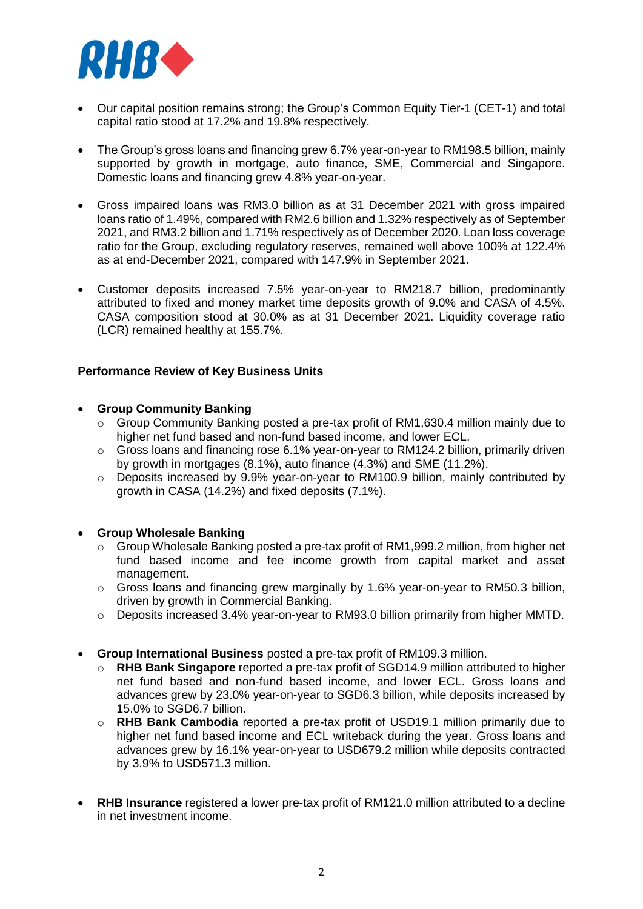

- Our capital position remains strong; the Group's Common Equity Tier-1 (CET-1) and total capital ratio stood at 17.2% and 19.8% respectively.
- The Group's gross loans and financing grew 6.7% year-on-year to RM198.5 billion, mainly supported by growth in mortgage, auto finance, SME, Commercial and Singapore. Domestic loans and financing grew 4.8% year-on-year.
- Gross impaired loans was RM3.0 billion as at 31 December 2021 with gross impaired loans ratio of 1.49%, compared with RM2.6 billion and 1.32% respectively as of September 2021, and RM3.2 billion and 1.71% respectively as of December 2020. Loan loss coverage ratio for the Group, excluding regulatory reserves, remained well above 100% at 122.4% as at end-December 2021, compared with 147.9% in September 2021.
- Customer deposits increased 7.5% year-on-year to RM218.7 billion, predominantly attributed to fixed and money market time deposits growth of 9.0% and CASA of 4.5%. CASA composition stood at 30.0% as at 31 December 2021. Liquidity coverage ratio (LCR) remained healthy at 155.7%.

### **Performance Review of Key Business Units**

### **Group Community Banking**

- o Group Community Banking posted a pre-tax profit of RM1,630.4 million mainly due to higher net fund based and non-fund based income, and lower ECL.
- o Gross loans and financing rose 6.1% year-on-year to RM124.2 billion, primarily driven by growth in mortgages (8.1%), auto finance (4.3%) and SME (11.2%).
- o Deposits increased by 9.9% year-on-year to RM100.9 billion, mainly contributed by growth in CASA (14.2%) and fixed deposits (7.1%).

### **Group Wholesale Banking**

- o Group Wholesale Banking posted a pre-tax profit of RM1,999.2 million, from higher net fund based income and fee income growth from capital market and asset management.
- $\circ$  Gross loans and financing grew marginally by 1.6% year-on-year to RM50.3 billion, driven by growth in Commercial Banking.
- $\circ$  Deposits increased 3.4% year-on-year to RM93.0 billion primarily from higher MMTD.
- **Group International Business** posted a pre-tax profit of RM109.3 million.
	- o **RHB Bank Singapore** reported a pre-tax profit of SGD14.9 million attributed to higher net fund based and non-fund based income, and lower ECL. Gross loans and advances grew by 23.0% year-on-year to SGD6.3 billion, while deposits increased by 15.0% to SGD6.7 billion.
	- o **RHB Bank Cambodia** reported a pre-tax profit of USD19.1 million primarily due to higher net fund based income and ECL writeback during the year. Gross loans and advances grew by 16.1% year-on-year to USD679.2 million while deposits contracted by 3.9% to USD571.3 million.
- **RHB Insurance** registered a lower pre-tax profit of RM121.0 million attributed to a decline in net investment income.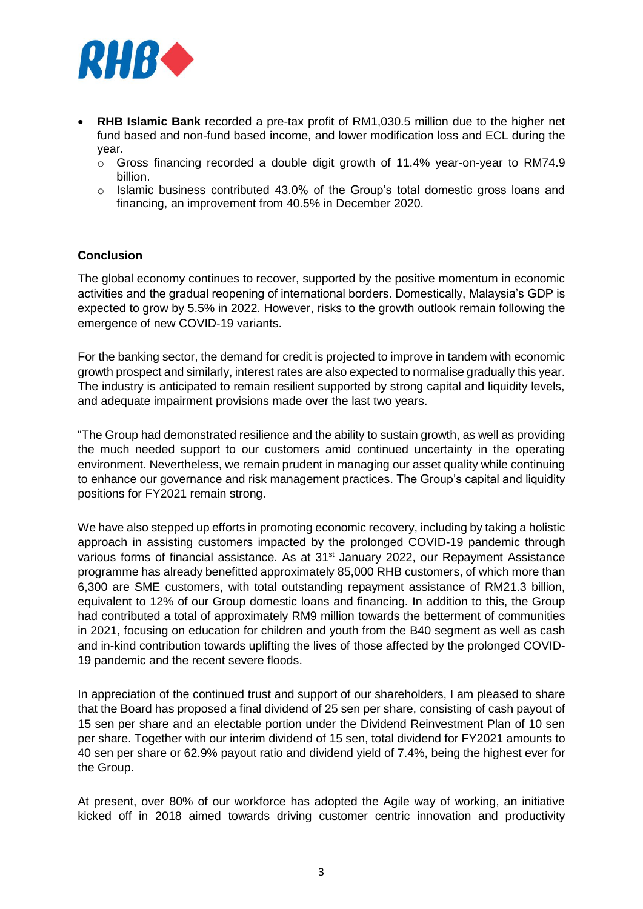

- **RHB Islamic Bank** recorded a pre-tax profit of RM1,030.5 million due to the higher net fund based and non-fund based income, and lower modification loss and ECL during the year.
	- $\circ$  Gross financing recorded a double digit growth of 11.4% year-on-year to RM74.9 billion.
	- $\circ$  Islamic business contributed 43.0% of the Group's total domestic gross loans and financing, an improvement from 40.5% in December 2020.

#### **Conclusion**

The global economy continues to recover, supported by the positive momentum in economic activities and the gradual reopening of international borders. Domestically, Malaysia's GDP is expected to grow by 5.5% in 2022. However, risks to the growth outlook remain following the emergence of new COVID-19 variants.

For the banking sector, the demand for credit is projected to improve in tandem with economic growth prospect and similarly, interest rates are also expected to normalise gradually this year. The industry is anticipated to remain resilient supported by strong capital and liquidity levels, and adequate impairment provisions made over the last two years.

"The Group had demonstrated resilience and the ability to sustain growth, as well as providing the much needed support to our customers amid continued uncertainty in the operating environment. Nevertheless, we remain prudent in managing our asset quality while continuing to enhance our governance and risk management practices. The Group's capital and liquidity positions for FY2021 remain strong.

We have also stepped up efforts in promoting economic recovery, including by taking a holistic approach in assisting customers impacted by the prolonged COVID-19 pandemic through various forms of financial assistance. As at 31<sup>st</sup> January 2022, our Repayment Assistance programme has already benefitted approximately 85,000 RHB customers, of which more than 6,300 are SME customers, with total outstanding repayment assistance of RM21.3 billion, equivalent to 12% of our Group domestic loans and financing. In addition to this, the Group had contributed a total of approximately RM9 million towards the betterment of communities in 2021, focusing on education for children and youth from the B40 segment as well as cash and in-kind contribution towards uplifting the lives of those affected by the prolonged COVID-19 pandemic and the recent severe floods.

In appreciation of the continued trust and support of our shareholders, I am pleased to share that the Board has proposed a final dividend of 25 sen per share, consisting of cash payout of 15 sen per share and an electable portion under the Dividend Reinvestment Plan of 10 sen per share. Together with our interim dividend of 15 sen, total dividend for FY2021 amounts to 40 sen per share or 62.9% payout ratio and dividend yield of 7.4%, being the highest ever for the Group.

At present, over 80% of our workforce has adopted the Agile way of working, an initiative kicked off in 2018 aimed towards driving customer centric innovation and productivity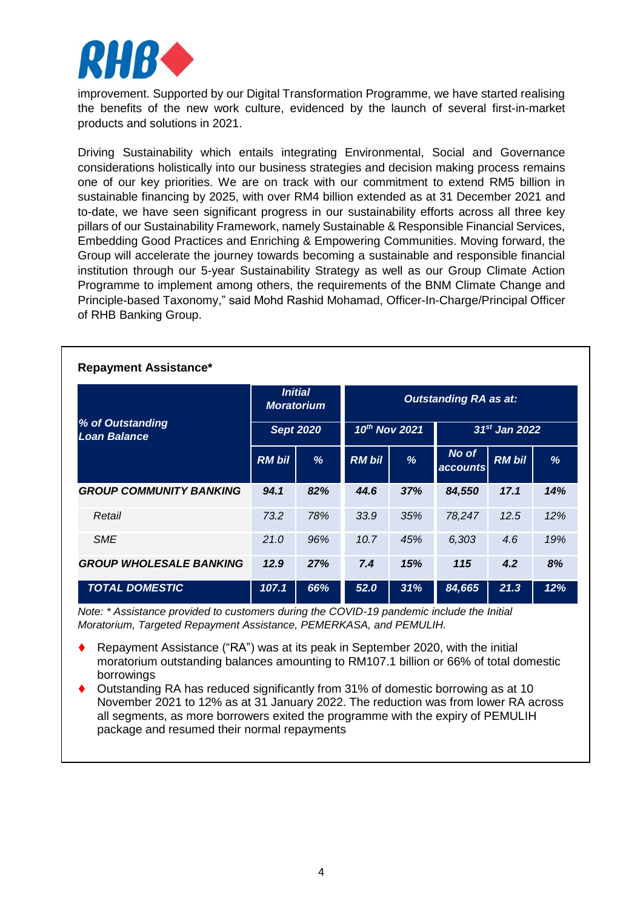

improvement. Supported by our Digital Transformation Programme, we have started realising the benefits of the new work culture, evidenced by the launch of several first-in-market products and solutions in 2021.

Driving Sustainability which entails integrating Environmental, Social and Governance considerations holistically into our business strategies and decision making process remains one of our key priorities. We are on track with our commitment to extend RM5 billion in sustainable financing by 2025, with over RM4 billion extended as at 31 December 2021 and to-date, we have seen significant progress in our sustainability efforts across all three key pillars of our Sustainability Framework, namely Sustainable & Responsible Financial Services, Embedding Good Practices and Enriching & Empowering Communities. Moving forward, the Group will accelerate the journey towards becoming a sustainable and responsible financial institution through our 5-year Sustainability Strategy as well as our Group Climate Action Programme to implement among others, the requirements of the BNM Climate Change and Principle-based Taxonomy," said Mohd Rashid Mohamad, Officer-In-Charge/Principal Officer of RHB Banking Group.

| <b>Repayment Assistance*</b>            |                                     |     |                              |     |                   |               |     |  |  |
|-----------------------------------------|-------------------------------------|-----|------------------------------|-----|-------------------|---------------|-----|--|--|
| % of Outstanding<br><b>Loan Balance</b> | <b>Initial</b><br><b>Moratorium</b> |     | <b>Outstanding RA as at:</b> |     |                   |               |     |  |  |
|                                         | <b>Sept 2020</b>                    |     | 10th Nov 2021                |     | $31st$ Jan 2022   |               |     |  |  |
|                                         | <b>RM bil</b>                       | %   | <b>RM bil</b>                | %   | No of<br>accounts | <b>RM bil</b> | %   |  |  |
| <b>GROUP COMMUNITY BANKING</b>          | 94.1                                | 82% | 44.6                         | 37% | 84,550            | 17.1          | 14% |  |  |
| Retail                                  | 73.2                                | 78% | 33.9                         | 35% | 78,247            | 12.5          | 12% |  |  |
| <b>SME</b>                              | 21.0                                | 96% | 10.7                         | 45% | 6,303             | 4.6           | 19% |  |  |
| <b>GROUP WHOLESALE BANKING</b>          | 12.9                                | 27% | 7.4                          | 15% | 115               | 4.2           | 8%  |  |  |
| <b>TOTAL DOMESTIC</b>                   | 107.1                               | 66% | 52.0                         | 31% | 84,665            | 21.3          | 12% |  |  |

*Note: \* Assistance provided to customers during the COVID-19 pandemic include the Initial Moratorium, Targeted Repayment Assistance, PEMERKASA, and PEMULIH.*

- Repayment Assistance ("RA") was at its peak in September 2020, with the initial moratorium outstanding balances amounting to RM107.1 billion or 66% of total domestic borrowings
- Outstanding RA has reduced significantly from 31% of domestic borrowing as at 10 November 2021 to 12% as at 31 January 2022. The reduction was from lower RA across all segments, as more borrowers exited the programme with the expiry of PEMULIH package and resumed their normal repayments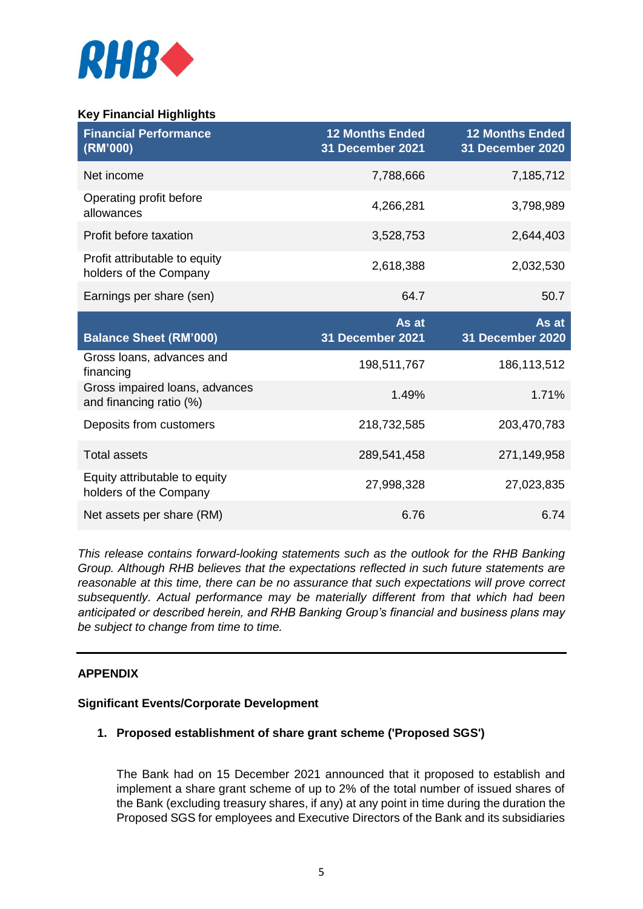

# **Key Financial Highlights**

| <b>Financial Performance</b><br>(RM'000)                  | <b>12 Months Ended</b><br><b>31 December 2021</b> | <b>12 Months Ended</b><br>31 December 2020 |
|-----------------------------------------------------------|---------------------------------------------------|--------------------------------------------|
| Net income                                                | 7,788,666                                         | 7,185,712                                  |
| Operating profit before<br>allowances                     | 4,266,281                                         | 3,798,989                                  |
| Profit before taxation                                    | 3,528,753                                         | 2,644,403                                  |
| Profit attributable to equity<br>holders of the Company   | 2,618,388                                         | 2,032,530                                  |
| Earnings per share (sen)                                  | 64.7                                              | 50.7                                       |
| <b>Balance Sheet (RM'000)</b>                             | As at<br>31 December 2021                         | As at<br>31 December 2020                  |
| Gross loans, advances and<br>financing                    | 198,511,767                                       | 186,113,512                                |
| Gross impaired loans, advances<br>and financing ratio (%) | 1.49%                                             | 1.71%                                      |
| Deposits from customers                                   | 218,732,585                                       | 203,470,783                                |
| <b>Total assets</b>                                       | 289,541,458                                       | 271,149,958                                |
| Equity attributable to equity<br>holders of the Company   | 27,998,328                                        | 27,023,835                                 |
| Net assets per share (RM)                                 | 6.76                                              | 6.74                                       |

*This release contains forward-looking statements such as the outlook for the RHB Banking Group. Although RHB believes that the expectations reflected in such future statements are reasonable at this time, there can be no assurance that such expectations will prove correct subsequently. Actual performance may be materially different from that which had been anticipated or described herein, and RHB Banking Group's financial and business plans may be subject to change from time to time.* 

### **APPENDIX**

### **Significant Events/Corporate Development**

### **1. Proposed establishment of share grant scheme ('Proposed SGS')**

The Bank had on 15 December 2021 announced that it proposed to establish and implement a share grant scheme of up to 2% of the total number of issued shares of the Bank (excluding treasury shares, if any) at any point in time during the duration the Proposed SGS for employees and Executive Directors of the Bank and its subsidiaries